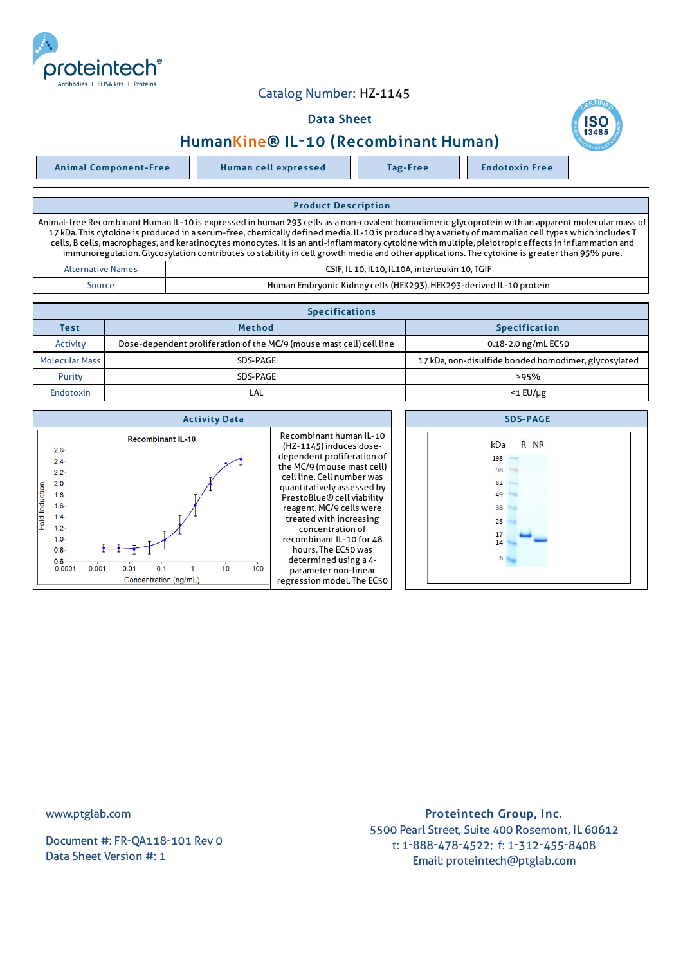

## Catalog Number: HZ-1145

## Data Sheet

## HumanKine® IL-10 (Recombinant Human)

Animal Component-Free Human cell expressed Tag-Free Tag Endotoxin Free

Product Description Animal-free Recombinant Human IL-10 is expressed in human 293 cells as a non-covalent homodimeric glycoprotein with an apparent molecular mass of 17 kDa. This cytokine is produced in a serum-free, chemically defined media. IL-10 is produced by a variety of mammalian cell types which includes T cells, B cells, macrophages, and keratinocytes monocytes. It is an anti-inflammatory cytokine with multiple, pleiotropic effects in inflammation and immunoregulation.Glycosylation contributes to stability in cell growth media and other applications. The cytokine is greater than 95% pure. Alternative Names CSIF, IL 10, IL10, IL10A, interleukin 10, TGIF Source **Human Embryonic Kidney cells (HEK293). HEK293-derived IL-10 protein** 

| <b>Specifications</b> |                                                                      |                                                      |  |  |  |
|-----------------------|----------------------------------------------------------------------|------------------------------------------------------|--|--|--|
| Test                  | <b>Method</b>                                                        | <b>Specification</b>                                 |  |  |  |
| Activity              | Dose-dependent proliferation of the MC/9 (mouse mast cell) cell line | 0.18-2.0 ng/mL EC50                                  |  |  |  |
| <b>Molecular Mass</b> | SDS-PAGE                                                             | 17 kDa, non-disulfide bonded homodimer, glycosylated |  |  |  |
| Purity                | SDS-PAGE                                                             | >95%                                                 |  |  |  |
| Endotoxin             | LAL                                                                  | $<$ 1 $E$ U/µg                                       |  |  |  |

| <b>Activity Data</b>                                                                                                                                                                                                                                                                                                                                                                                                                                                                                                                                                                                                                                       | <b>SDS-PAGE</b>                                              |
|------------------------------------------------------------------------------------------------------------------------------------------------------------------------------------------------------------------------------------------------------------------------------------------------------------------------------------------------------------------------------------------------------------------------------------------------------------------------------------------------------------------------------------------------------------------------------------------------------------------------------------------------------------|--------------------------------------------------------------|
| Recombinant human IL-10<br><b>Recombinant IL-10</b><br>(HZ-1145) induces dose-<br>2.6 <sub>1</sub><br>dependent proliferation of<br>2.4<br>the MC/9 (mouse mast cell)<br>2.2<br>cell line. Cell number was<br>2.0<br>Fold Induction<br>quantitatively assessed by<br>1.8<br>PrestoBlue® cell viability<br>1.6<br>reagent. MC/9 cells were<br>1.4<br>treated with increasing<br>1.2<br>concentration of<br>recombinant IL-10 for 48<br>1.0 <sub>1</sub><br>hours. The EC50 was<br>$0.8 -$<br>determined using a 4-<br>$0.6 +$<br>0.001<br>0.01<br>100<br>0.0001<br>0.1<br>10<br>parameter non-linear<br>regression model. The EC50<br>Concentration (ng/mL) | R NR<br>kDa<br>198<br>98<br>62<br>49<br>38<br>28<br>17<br>14 |

www.ptglab.com

Document #: FR-QA118-101 Rev 0 Data Sheet Version #: 1

## Proteintech Group, Inc. 5500 Pearl Street, Suite 400 Rosemont, IL 60612 t: 1-888-478-4522; f: 1-312-455-8408 Email: proteintech@ptglab.com